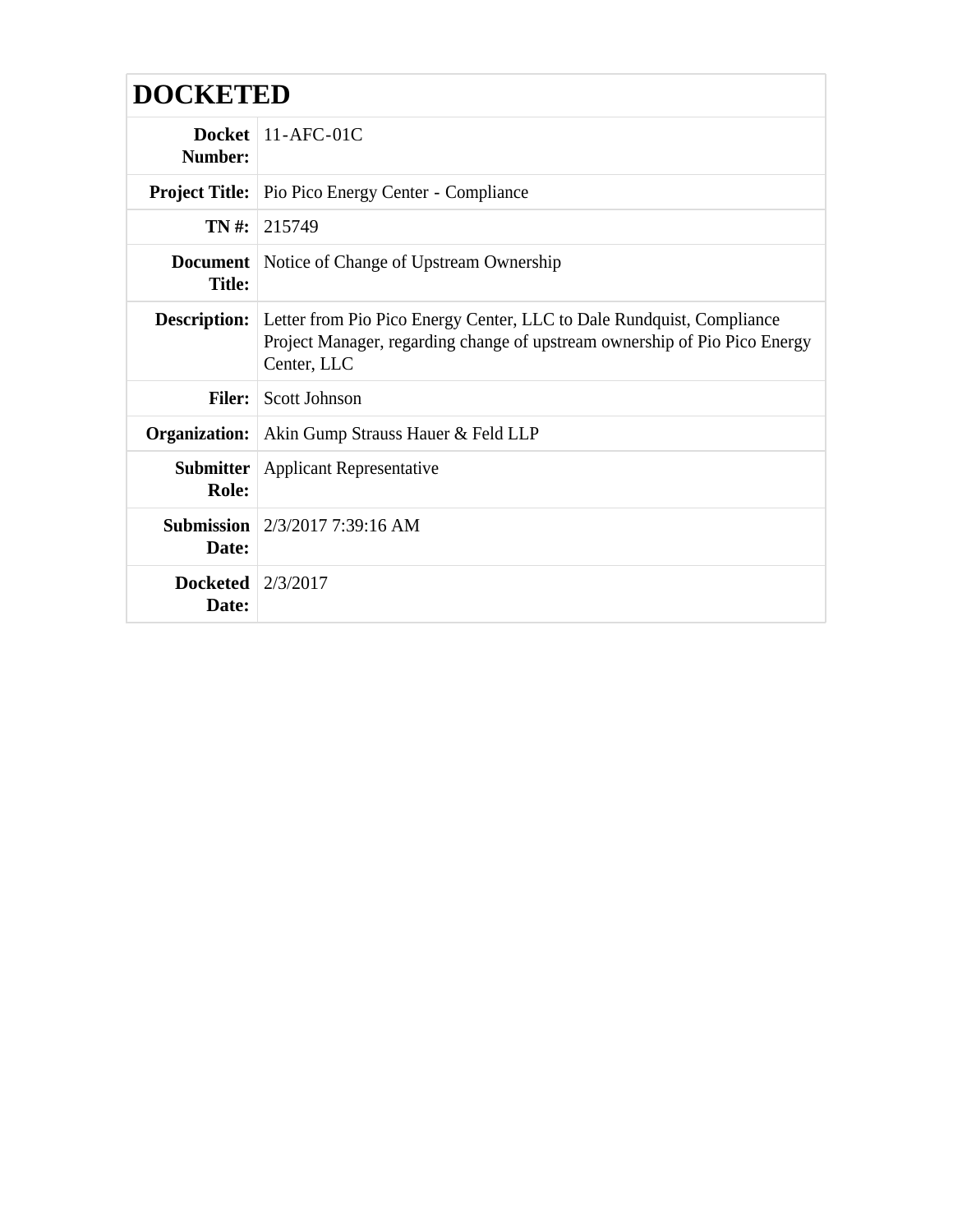## **DOCKETED**

| Number:                              | Docket $11-AFC-01C$                                                                                                                                                                    |
|--------------------------------------|----------------------------------------------------------------------------------------------------------------------------------------------------------------------------------------|
|                                      | <b>Project Title:</b> Pio Pico Energy Center - Compliance                                                                                                                              |
| TN #:                                | 1215749                                                                                                                                                                                |
| <b>Title:</b>                        | <b>Document</b> Notice of Change of Upstream Ownership                                                                                                                                 |
|                                      | <b>Description:</b> Letter from Pio Pico Energy Center, LLC to Dale Rundquist, Compliance<br>Project Manager, regarding change of upstream ownership of Pio Pico Energy<br>Center, LLC |
| <b>Filer:</b>                        | Scott Johnson                                                                                                                                                                          |
| Organization:                        | Akin Gump Strauss Hauer & Feld LLP                                                                                                                                                     |
| Role:                                | <b>Submitter</b> Applicant Representative                                                                                                                                              |
| Date:                                | <b>Submission</b> $2/3/2017$ 7:39:16 AM                                                                                                                                                |
| Docketed $\frac{2}{3}/2017$<br>Date: |                                                                                                                                                                                        |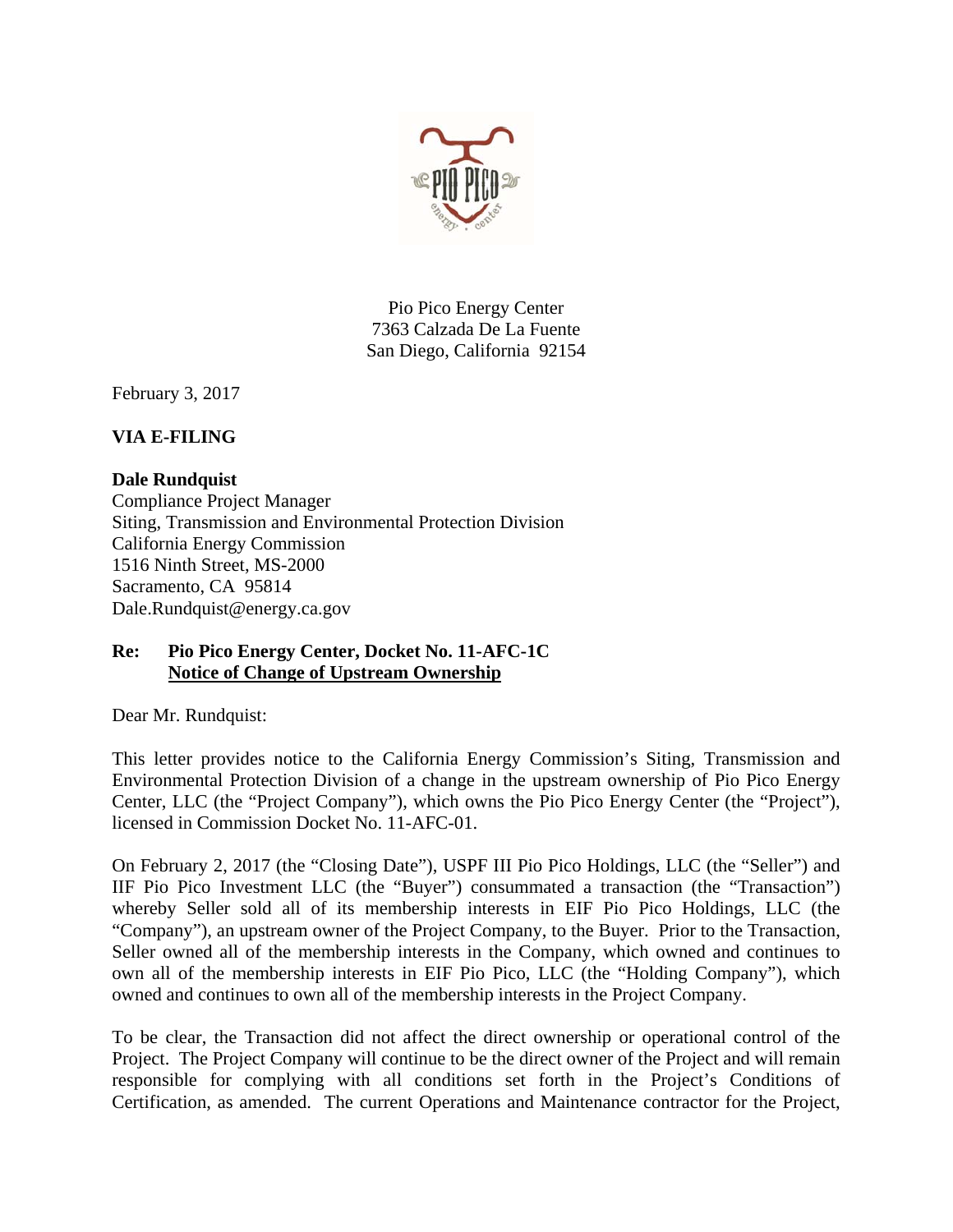

Pio Pico Energy Center 7363 Calzada De La Fuente San Diego, California 92154

February 3, 2017

## **VIA E-FILING**

## **Dale Rundquist**

Compliance Project Manager Siting, Transmission and Environmental Protection Division California Energy Commission 1516 Ninth Street, MS-2000 Sacramento, CA 95814 Dale.Rundquist@energy.ca.gov

## **Re: Pio Pico Energy Center, Docket No. 11-AFC-1C Notice of Change of Upstream Ownership**

Dear Mr. Rundquist:

This letter provides notice to the California Energy Commission's Siting, Transmission and Environmental Protection Division of a change in the upstream ownership of Pio Pico Energy Center, LLC (the "Project Company"), which owns the Pio Pico Energy Center (the "Project"), licensed in Commission Docket No. 11-AFC-01.

On February 2, 2017 (the "Closing Date"), USPF III Pio Pico Holdings, LLC (the "Seller") and IIF Pio Pico Investment LLC (the "Buyer") consummated a transaction (the "Transaction") whereby Seller sold all of its membership interests in EIF Pio Pico Holdings, LLC (the "Company"), an upstream owner of the Project Company, to the Buyer. Prior to the Transaction, Seller owned all of the membership interests in the Company, which owned and continues to own all of the membership interests in EIF Pio Pico, LLC (the "Holding Company"), which owned and continues to own all of the membership interests in the Project Company.

To be clear, the Transaction did not affect the direct ownership or operational control of the Project. The Project Company will continue to be the direct owner of the Project and will remain responsible for complying with all conditions set forth in the Project's Conditions of Certification, as amended. The current Operations and Maintenance contractor for the Project,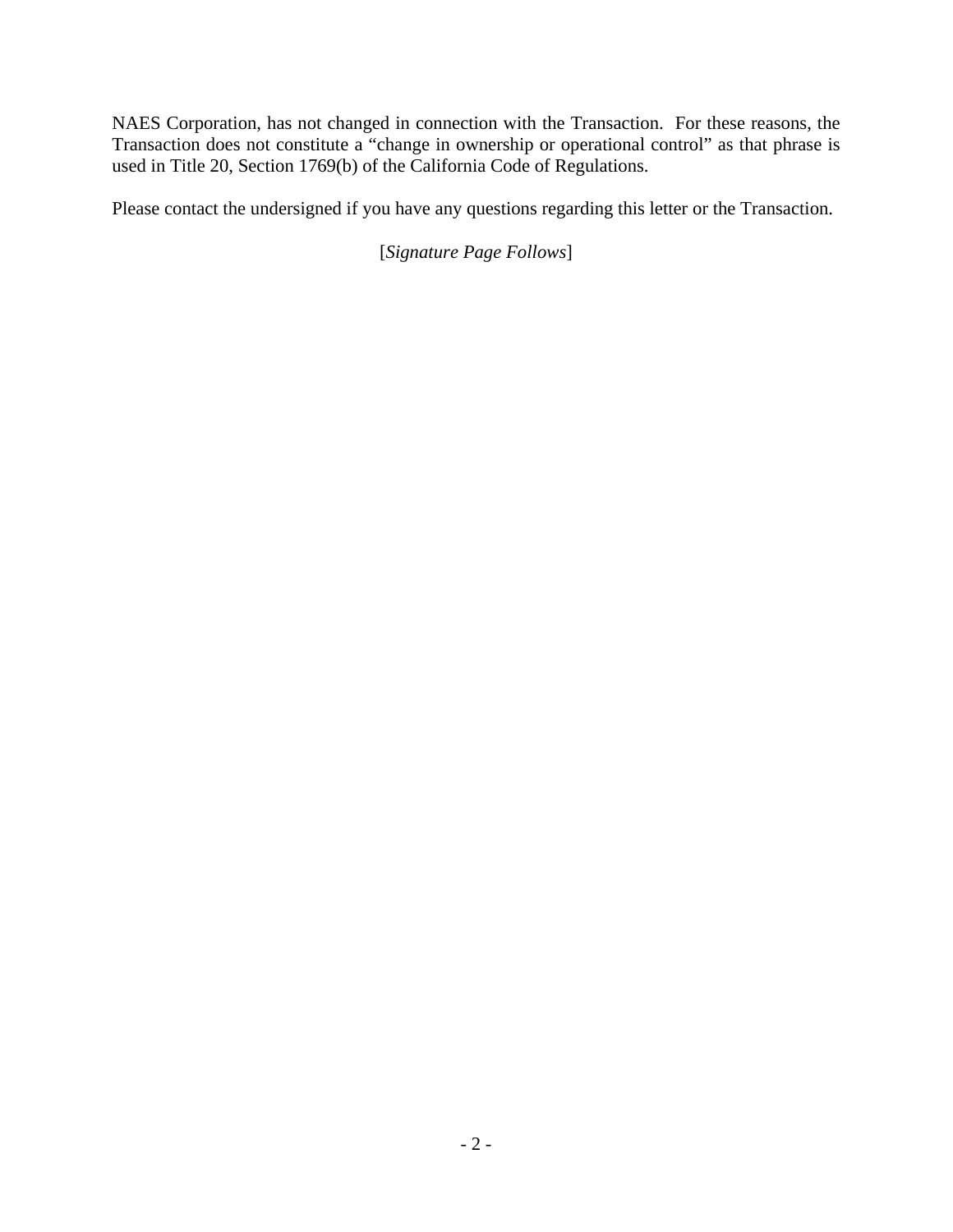NAES Corporation, has not changed in connection with the Transaction. For these reasons, the Transaction does not constitute a "change in ownership or operational control" as that phrase is used in Title 20, Section 1769(b) of the California Code of Regulations.

Please contact the undersigned if you have any questions regarding this letter or the Transaction.

[*Signature Page Follows*]